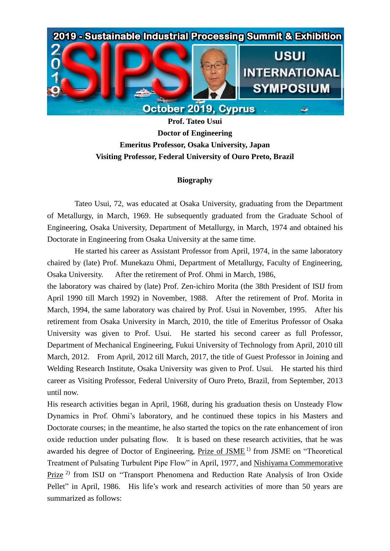

**Prof. Tateo Usui Doctor of Engineering Emeritus Professor, Osaka University, Japan Visiting Professor, Federal University of Ouro Preto, Brazil**

## **Biography**

Tateo Usui, 72, was educated at Osaka University, graduating from the Department of Metallurgy, in March, 1969. He subsequently graduated from the Graduate School of Engineering, Osaka University, Department of Metallurgy, in March, 1974 and obtained his Doctorate in Engineering from Osaka University at the same time.

He started his career as Assistant Professor from April, 1974, in the same laboratory chaired by (late) Prof. Munekazu Ohmi, Department of Metallurgy, Faculty of Engineering, Osaka University. After the retirement of Prof. Ohmi in March, 1986,

the laboratory was chaired by (late) Prof. Zen-ichiro Morita (the 38th President of ISIJ from April 1990 till March 1992) in November, 1988. After the retirement of Prof. Morita in March, 1994, the same laboratory was chaired by Prof. Usui in November, 1995. After his retirement from Osaka University in March, 2010, the title of Emeritus Professor of Osaka University was given to Prof. Usui. He started his second career as full Professor, Department of Mechanical Engineering, Fukui University of Technology from April, 2010 till March, 2012. From April, 2012 till March, 2017, the title of Guest Professor in Joining and Welding Research Institute, Osaka University was given to Prof. Usui. He started his third career as Visiting Professor, Federal University of Ouro Preto, Brazil, from September, 2013 until now.

His research activities began in April, 1968, during his graduation thesis on Unsteady Flow Dynamics in Prof. Ohmi's laboratory, and he continued these topics in his Masters and Doctorate courses; in the meantime, he also started the topics on the rate enhancement of iron oxide reduction under pulsating flow. It is based on these research activities, that he was awarded his degree of Doctor of Engineering, Prize of JSME<sup>1)</sup> from JSME on "Theoretical Treatment of Pulsating Turbulent Pipe Flow" in April, 1977, and Nishiyama Commemorative Prize 2) from ISIJ on "Transport Phenomena and Reduction Rate Analysis of Iron Oxide Pellet" in April, 1986. His life's work and research activities of more than 50 years are summarized as follows: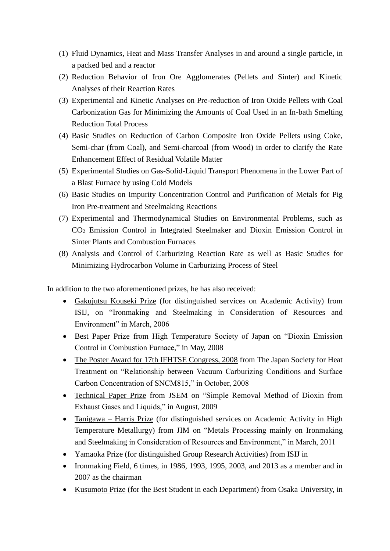- (1) Fluid Dynamics, Heat and Mass Transfer Analyses in and around a single particle, in a packed bed and a reactor
- (2) Reduction Behavior of Iron Ore Agglomerates (Pellets and Sinter) and Kinetic Analyses of their Reaction Rates
- (3) Experimental and Kinetic Analyses on Pre-reduction of Iron Oxide Pellets with Coal Carbonization Gas for Minimizing the Amounts of Coal Used in an In-bath Smelting Reduction Total Process
- (4) Basic Studies on Reduction of Carbon Composite Iron Oxide Pellets using Coke, Semi-char (from Coal), and Semi-charcoal (from Wood) in order to clarify the Rate Enhancement Effect of Residual Volatile Matter
- (5) Experimental Studies on Gas-Solid-Liquid Transport Phenomena in the Lower Part of a Blast Furnace by using Cold Models
- (6) Basic Studies on Impurity Concentration Control and Purification of Metals for Pig Iron Pre-treatment and Steelmaking Reactions
- (7) Experimental and Thermodynamical Studies on Environmental Problems, such as CO<sup>2</sup> Emission Control in Integrated Steelmaker and Dioxin Emission Control in Sinter Plants and Combustion Furnaces
- (8) Analysis and Control of Carburizing Reaction Rate as well as Basic Studies for Minimizing Hydrocarbon Volume in Carburizing Process of Steel

In addition to the two aforementioned prizes, he has also received:

- Gakujutsu Kouseki Prize (for distinguished services on Academic Activity) from ISIJ, on "Ironmaking and Steelmaking in Consideration of Resources and Environment" in March, 2006
- Best Paper Prize from High Temperature Society of Japan on "Dioxin Emission Control in Combustion Furnace," in May, 2008
- The Poster Award for 17th IFHTSE Congress, 2008 from The Japan Society for Heat Treatment on "Relationship between Vacuum Carburizing Conditions and Surface Carbon Concentration of SNCM815," in October, 2008
- Technical Paper Prize from JSEM on "Simple Removal Method of Dioxin from Exhaust Gases and Liquids," in August, 2009
- Tanigawa Harris Prize (for distinguished services on Academic Activity in High Temperature Metallurgy) from JIM on "Metals Processing mainly on Ironmaking and Steelmaking in Consideration of Resources and Environment," in March, 2011
- Yamaoka Prize (for distinguished Group Research Activities) from ISIJ in
- Ironmaking Field, 6 times, in 1986, 1993, 1995, 2003, and 2013 as a member and in 2007 as the chairman
- Kusumoto Prize (for the Best Student in each Department) from Osaka University, in